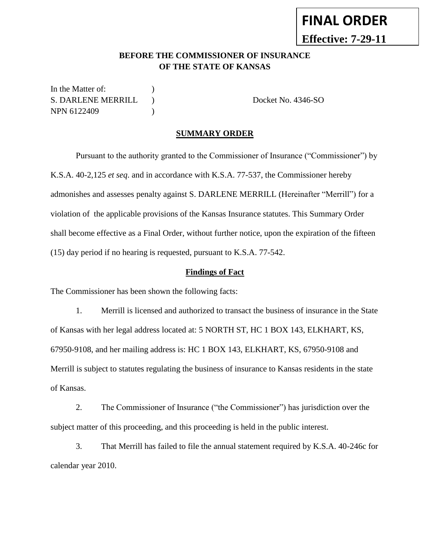# **FINAL ORDER Effective: 7-29-11**

### **BEFORE THE COMMISSIONER OF INSURANCE OF THE STATE OF KANSAS**

In the Matter of:  $\qquad \qquad$  ) S. DARLENE MERRILL ) Docket No. 4346-SO NPN 6122409 (1988)

#### **SUMMARY ORDER**

Pursuant to the authority granted to the Commissioner of Insurance ("Commissioner") by K.S.A. 40-2,125 *et seq*. and in accordance with K.S.A. 77-537, the Commissioner hereby admonishes and assesses penalty against S. DARLENE MERRILL (Hereinafter "Merrill") for a violation of the applicable provisions of the Kansas Insurance statutes. This Summary Order shall become effective as a Final Order, without further notice, upon the expiration of the fifteen (15) day period if no hearing is requested, pursuant to K.S.A. 77-542.

#### **Findings of Fact**

The Commissioner has been shown the following facts:

1. Merrill is licensed and authorized to transact the business of insurance in the State of Kansas with her legal address located at: 5 NORTH ST, HC 1 BOX 143, ELKHART, KS, 67950-9108, and her mailing address is: HC 1 BOX 143, ELKHART, KS, 67950-9108 and Merrill is subject to statutes regulating the business of insurance to Kansas residents in the state of Kansas.

2. The Commissioner of Insurance ("the Commissioner") has jurisdiction over the subject matter of this proceeding, and this proceeding is held in the public interest.

3. That Merrill has failed to file the annual statement required by K.S.A. 40-246c for calendar year 2010.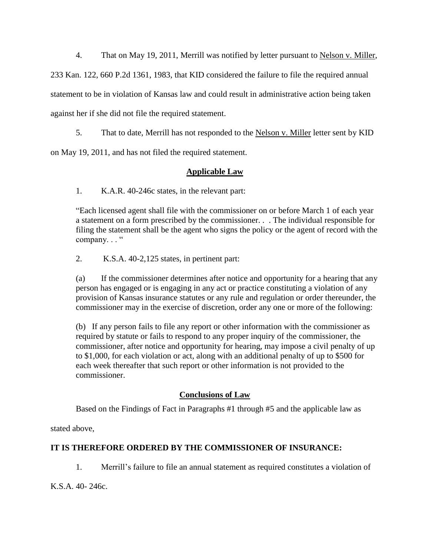4. That on May 19, 2011, Merrill was notified by letter pursuant to Nelson v. Miller, 233 Kan. 122, 660 P.2d 1361, 1983, that KID considered the failure to file the required annual statement to be in violation of Kansas law and could result in administrative action being taken

against her if she did not file the required statement.

5. That to date, Merrill has not responded to the Nelson v. Miller letter sent by KID

on May 19, 2011, and has not filed the required statement.

# **Applicable Law**

1. K.A.R. 40-246c states, in the relevant part:

"Each licensed agent shall file with the commissioner on or before March 1 of each year a statement on a form prescribed by the commissioner. . . The individual responsible for filing the statement shall be the agent who signs the policy or the agent of record with the company..."

2. K.S.A. 40-2,125 states, in pertinent part:

(a) If the commissioner determines after notice and opportunity for a hearing that any person has engaged or is engaging in any act or practice constituting a violation of any provision of Kansas insurance statutes or any rule and regulation or order thereunder, the commissioner may in the exercise of discretion, order any one or more of the following:

(b) If any person fails to file any report or other information with the commissioner as required by statute or fails to respond to any proper inquiry of the commissioner, the commissioner, after notice and opportunity for hearing, may impose a civil penalty of up to \$1,000, for each violation or act, along with an additional penalty of up to \$500 for each week thereafter that such report or other information is not provided to the commissioner.

## **Conclusions of Law**

Based on the Findings of Fact in Paragraphs #1 through #5 and the applicable law as

stated above,

# **IT IS THEREFORE ORDERED BY THE COMMISSIONER OF INSURANCE:**

1. Merrill's failure to file an annual statement as required constitutes a violation of

K.S.A. 40- 246c.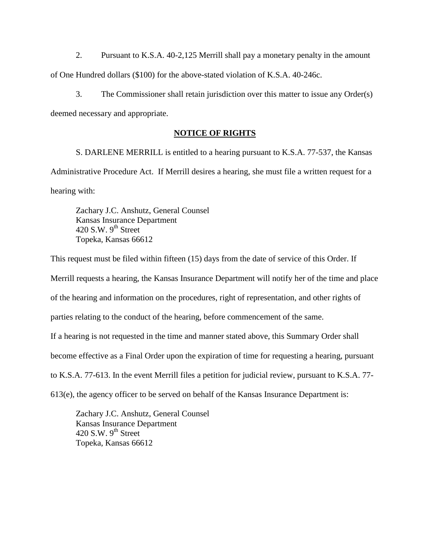2. Pursuant to K.S.A. 40-2,125 Merrill shall pay a monetary penalty in the amount of One Hundred dollars (\$100) for the above-stated violation of K.S.A. 40-246c.

3. The Commissioner shall retain jurisdiction over this matter to issue any Order(s) deemed necessary and appropriate.

#### **NOTICE OF RIGHTS**

S. DARLENE MERRILL is entitled to a hearing pursuant to K.S.A. 77-537, the Kansas Administrative Procedure Act. If Merrill desires a hearing, she must file a written request for a hearing with:

Zachary J.C. Anshutz, General Counsel Kansas Insurance Department 420 S.W.  $9<sup>th</sup>$  Street Topeka, Kansas 66612

This request must be filed within fifteen (15) days from the date of service of this Order. If Merrill requests a hearing, the Kansas Insurance Department will notify her of the time and place of the hearing and information on the procedures, right of representation, and other rights of parties relating to the conduct of the hearing, before commencement of the same. If a hearing is not requested in the time and manner stated above, this Summary Order shall become effective as a Final Order upon the expiration of time for requesting a hearing, pursuant to K.S.A. 77-613. In the event Merrill files a petition for judicial review, pursuant to K.S.A. 77- 613(e), the agency officer to be served on behalf of the Kansas Insurance Department is:

Zachary J.C. Anshutz, General Counsel Kansas Insurance Department 420 S.W.  $9<sup>th</sup>$  Street Topeka, Kansas 66612